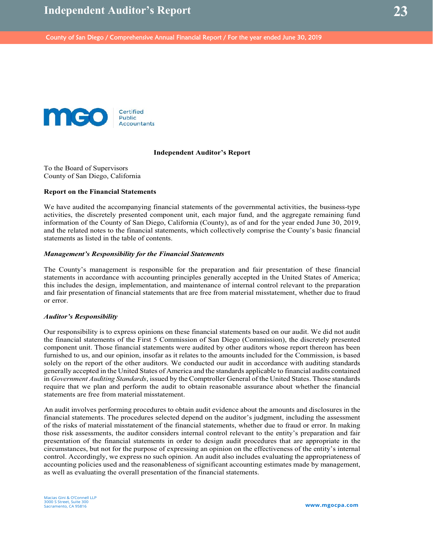County of San Diego / Comprehensive Annual Financial Report / For the year ended June 30, 2019



### **Independent Auditor's Report**

To the Board of Supervisors County of San Diego, California

#### **Report on the Financial Statements**

We have audited the accompanying financial statements of the governmental activities, the business-type activities, the discretely presented component unit, each major fund, and the aggregate remaining fund information of the County of San Diego, California (County), as of and for the year ended June 30, 2019, and the related notes to the financial statements, which collectively comprise the County's basic financial statements as listed in the table of contents.

## *Management's Responsibility for the Financial Statements*

The County's management is responsible for the preparation and fair presentation of these financial statements in accordance with accounting principles generally accepted in the United States of America; this includes the design, implementation, and maintenance of internal control relevant to the preparation and fair presentation of financial statements that are free from material misstatement, whether due to fraud or error.

### *Auditor's Responsibility*

Our responsibility is to express opinions on these financial statements based on our audit. We did not audit the financial statements of the First 5 Commission of San Diego (Commission), the discretely presented component unit. Those financial statements were audited by other auditors whose report thereon has been furnished to us, and our opinion, insofar as it relates to the amounts included for the Commission, is based solely on the report of the other auditors. We conducted our audit in accordance with auditing standards generally accepted in the United States of America and the standards applicable to financial audits contained in *Government Auditing Standards*, issued by the Comptroller General of the United States. Those standards require that we plan and perform the audit to obtain reasonable assurance about whether the financial statements are free from material misstatement.

An audit involves performing procedures to obtain audit evidence about the amounts and disclosures in the financial statements. The procedures selected depend on the auditor's judgment, including the assessment of the risks of material misstatement of the financial statements, whether due to fraud or error. In making those risk assessments, the auditor considers internal control relevant to the entity's preparation and fair presentation of the financial statements in order to design audit procedures that are appropriate in the circumstances, but not for the purpose of expressing an opinion on the effectiveness of the entity's internal control. Accordingly, we express no such opinion. An audit also includes evaluating the appropriateness of accounting policies used and the reasonableness of significant accounting estimates made by management, as well as evaluating the overall presentation of the financial statements.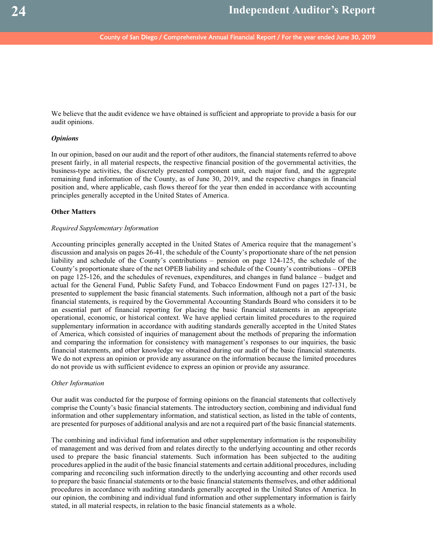We believe that the audit evidence we have obtained is sufficient and appropriate to provide a basis for our audit opinions.

## *Opinions*

In our opinion, based on our audit and the report of other auditors, the financial statements referred to above present fairly, in all material respects, the respective financial position of the governmental activities, the business-type activities, the discretely presented component unit, each major fund, and the aggregate remaining fund information of the County, as of June 30, 2019, and the respective changes in financial position and, where applicable, cash flows thereof for the year then ended in accordance with accounting principles generally accepted in the United States of America.

## **Other Matters**

## *Required Supplementary Information*

Accounting principles generally accepted in the United States of America require that the management's discussion and analysis on pages 26-41, the schedule of the County's proportionate share of the net pension liability and schedule of the County's contributions – pension on page 124-125, the schedule of the County's proportionate share of the net OPEB liability and schedule of the County's contributions – OPEB on page 125-126, and the schedules of revenues, expenditures, and changes in fund balance – budget and actual for the General Fund, Public Safety Fund, and Tobacco Endowment Fund on pages 127-131, be presented to supplement the basic financial statements. Such information, although not a part of the basic financial statements, is required by the Governmental Accounting Standards Board who considers it to be an essential part of financial reporting for placing the basic financial statements in an appropriate operational, economic, or historical context. We have applied certain limited procedures to the required supplementary information in accordance with auditing standards generally accepted in the United States of America, which consisted of inquiries of management about the methods of preparing the information and comparing the information for consistency with management's responses to our inquiries, the basic financial statements, and other knowledge we obtained during our audit of the basic financial statements. We do not express an opinion or provide any assurance on the information because the limited procedures do not provide us with sufficient evidence to express an opinion or provide any assurance.

## *Other Information*

Our audit was conducted for the purpose of forming opinions on the financial statements that collectively comprise the County's basic financial statements. The introductory section, combining and individual fund information and other supplementary information, and statistical section, as listed in the table of contents, are presented for purposes of additional analysis and are not a required part of the basic financial statements.

The combining and individual fund information and other supplementary information is the responsibility of management and was derived from and relates directly to the underlying accounting and other records used to prepare the basic financial statements. Such information has been subjected to the auditing procedures applied in the audit of the basic financial statements and certain additional procedures, including comparing and reconciling such information directly to the underlying accounting and other records used to prepare the basic financial statements or to the basic financial statements themselves, and other additional procedures in accordance with auditing standards generally accepted in the United States of America. In our opinion, the combining and individual fund information and other supplementary information is fairly stated, in all material respects, in relation to the basic financial statements as a whole.